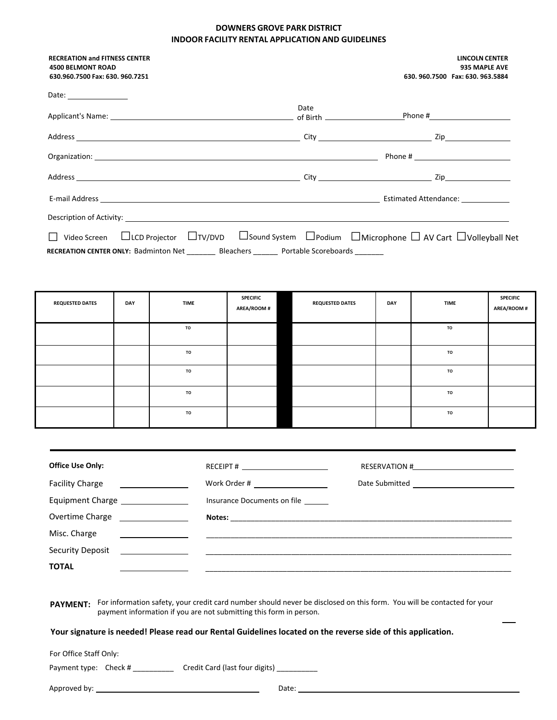## **DOWNERS GROVE PARK DISTRICT INDOOR FACILITY RENTAL APPLICATIONAND GUIDELINES**

| <b>RECREATION and FITNESS CENTER</b><br><b>4500 BELMONT ROAD</b>                                                                                                                                        |      | <b>LINCOLN CENTER</b><br>935 MAPLE AVE |
|---------------------------------------------------------------------------------------------------------------------------------------------------------------------------------------------------------|------|----------------------------------------|
| 630.960.7500 Fax: 630. 960.7251                                                                                                                                                                         |      | 630, 960, 7500 Fax: 630, 963, 5884     |
| Date: __________________                                                                                                                                                                                |      |                                        |
|                                                                                                                                                                                                         | Date |                                        |
|                                                                                                                                                                                                         |      |                                        |
|                                                                                                                                                                                                         |      |                                        |
|                                                                                                                                                                                                         |      |                                        |
|                                                                                                                                                                                                         |      |                                        |
|                                                                                                                                                                                                         |      |                                        |
| □ Video Screen □LCD Projector □TV/DVD □ Sound System □ Podium □ Microphone □ AV Cart □ Volleyball Net<br>RECREATION CENTER ONLY: Badminton Net _________ Bleachers _______ Portable Scoreboards _______ |      |                                        |

| <b>REQUESTED DATES</b> | DAY | <b>TIME</b> | <b>SPECIFIC</b><br><b>AREA/ROOM#</b> | <b>REQUESTED DATES</b> | DAY | <b>TIME</b> | <b>SPECIFIC</b><br>AREA/ROOM # |
|------------------------|-----|-------------|--------------------------------------|------------------------|-----|-------------|--------------------------------|
|                        |     | TO          |                                      |                        |     | TO          |                                |
|                        |     | <b>TO</b>   |                                      |                        |     | TO          |                                |
|                        |     | <b>TO</b>   |                                      |                        |     | TO          |                                |
|                        |     | <b>TO</b>   |                                      |                        |     | TO          |                                |
|                        |     | <b>TO</b>   |                                      |                        |     | TO          |                                |

| <b>Office Use Only:</b>           | RECEIPT # $\frac{1}{2}$                                                                                               | RESERVATION #                                                                                                                                                                                                                                                                                                                                                                               |
|-----------------------------------|-----------------------------------------------------------------------------------------------------------------------|---------------------------------------------------------------------------------------------------------------------------------------------------------------------------------------------------------------------------------------------------------------------------------------------------------------------------------------------------------------------------------------------|
| <b>Facility Charge</b>            |                                                                                                                       | Date Submitted<br><u> and</u><br><u> and</u><br><u>and</u><br><u>and</u><br><u>and</u><br><u>and</u><br><u>and</u><br><u>and</u><br><b>and</b><br><b>and</b><br><b>and</b><br><b>and</b><br><b>and</b><br><b>and</b><br><b>and</b><br><b>and</b><br><b>and</b><br><b>and</b><br><b>and</b><br><b>and</b><br><b>and</b><br><b>and</b><br><b>and</b><br><b>and</b><br><b>and</b><br><b>an</b> |
| Equipment Charge ________________ | Insurance Documents on file                                                                                           |                                                                                                                                                                                                                                                                                                                                                                                             |
| Overtime Charge ________________  |                                                                                                                       |                                                                                                                                                                                                                                                                                                                                                                                             |
| Misc. Charge                      |                                                                                                                       |                                                                                                                                                                                                                                                                                                                                                                                             |
| Security Deposit                  | <u> 1980 - Jan Samuel II, maritan a shekara tsa na shekara tsa 1980 a shekara tsa 1980 a shekara tsa 1980 a sheka</u> |                                                                                                                                                                                                                                                                                                                                                                                             |
| <b>TOTAL</b>                      |                                                                                                                       |                                                                                                                                                                                                                                                                                                                                                                                             |
|                                   |                                                                                                                       |                                                                                                                                                                                                                                                                                                                                                                                             |

**PAYMENT:** For information safety, your credit card number should never be disclosed on this form. You will be contacted for your payment information if you are not submitting this form in person.

## **Your signature is needed! Please read our Rental Guidelines located on the reverse side of this application.**

For Office Staff Only:

Payment type: Check # \_\_\_\_\_\_\_\_\_\_\_\_ Credit Card (last four digits) \_\_\_\_\_\_\_\_\_\_

| Approved by: | Date: |
|--------------|-------|
|--------------|-------|